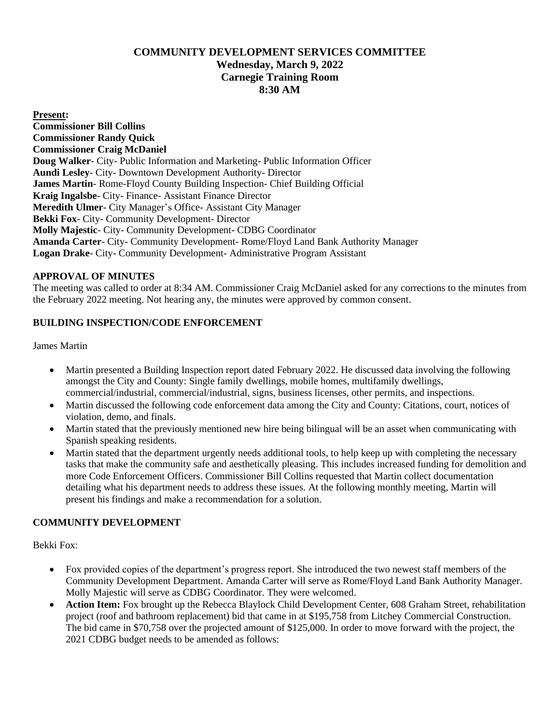# **COMMUNITY DEVELOPMENT SERVICES COMMITTEE Wednesday, March 9, 2022 Carnegie Training Room 8:30 AM**

#### **Present:**

**Commissioner Bill Collins Commissioner Randy Quick Commissioner Craig McDaniel Doug Walker**- City- Public Information and Marketing- Public Information Officer **Aundi Lesley**- City- Downtown Development Authority- Director **James Martin**- Rome-Floyd County Building Inspection- Chief Building Official **Kraig Ingalsbe**- City- Finance- Assistant Finance Director **Meredith Ulmer**- City Manager's Office- Assistant City Manager **Bekki Fox**- City- Community Development- Director **Molly Majestic**- City- Community Development- CDBG Coordinator **Amanda Carter**- City- Community Development- Rome/Floyd Land Bank Authority Manager **Logan Drake**- City- Community Development- Administrative Program Assistant

### **APPROVAL OF MINUTES**

The meeting was called to order at 8:34 AM. Commissioner Craig McDaniel asked for any corrections to the minutes from the February 2022 meeting. Not hearing any, the minutes were approved by common consent.

#### **BUILDING INSPECTION/CODE ENFORCEMENT**

James Martin

- Martin presented a Building Inspection report dated February 2022. He discussed data involving the following amongst the City and County: Single family dwellings, mobile homes, multifamily dwellings, commercial/industrial, commercial/industrial, signs, business licenses, other permits, and inspections.
- Martin discussed the following code enforcement data among the City and County: Citations, court, notices of violation, demo, and finals.
- Martin stated that the previously mentioned new hire being bilingual will be an asset when communicating with Spanish speaking residents.
- Martin stated that the department urgently needs additional tools, to help keep up with completing the necessary tasks that make the community safe and aesthetically pleasing. This includes increased funding for demolition and more Code Enforcement Officers. Commissioner Bill Collins requested that Martin collect documentation detailing what his department needs to address these issues. At the following monthly meeting, Martin will present his findings and make a recommendation for a solution.

### **COMMUNITY DEVELOPMENT**

Bekki Fox:

- Fox provided copies of the department's progress report. She introduced the two newest staff members of the Community Development Department. Amanda Carter will serve as Rome/Floyd Land Bank Authority Manager. Molly Majestic will serve as CDBG Coordinator. They were welcomed.
- **Action Item:** Fox brought up the Rebecca Blaylock Child Development Center, 608 Graham Street, rehabilitation project (roof and bathroom replacement) bid that came in at \$195,758 from Litchey Commercial Construction. The bid came in \$70,758 over the projected amount of \$125,000. In order to move forward with the project, the 2021 CDBG budget needs to be amended as follows: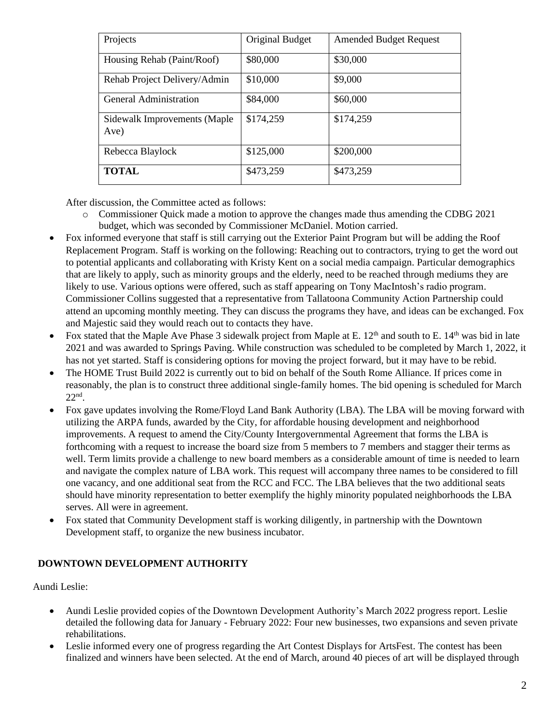| Projects                             | Original Budget | <b>Amended Budget Request</b> |
|--------------------------------------|-----------------|-------------------------------|
| Housing Rehab (Paint/Roof)           | \$80,000        | \$30,000                      |
| Rehab Project Delivery/Admin         | \$10,000        | \$9,000                       |
| General Administration               | \$84,000        | \$60,000                      |
| Sidewalk Improvements (Maple<br>Ave) | \$174,259       | \$174,259                     |
| Rebecca Blaylock                     | \$125,000       | \$200,000                     |
| <b>TOTAL</b>                         | \$473,259       | \$473,259                     |

After discussion, the Committee acted as follows:

- o Commissioner Quick made a motion to approve the changes made thus amending the CDBG 2021 budget, which was seconded by Commissioner McDaniel. Motion carried.
- Fox informed everyone that staff is still carrying out the Exterior Paint Program but will be adding the Roof Replacement Program. Staff is working on the following: Reaching out to contractors, trying to get the word out to potential applicants and collaborating with Kristy Kent on a social media campaign. Particular demographics that are likely to apply, such as minority groups and the elderly, need to be reached through mediums they are likely to use. Various options were offered, such as staff appearing on Tony MacIntosh's radio program. Commissioner Collins suggested that a representative from Tallatoona Community Action Partnership could attend an upcoming monthly meeting. They can discuss the programs they have, and ideas can be exchanged. Fox and Majestic said they would reach out to contacts they have.
- Fox stated that the Maple Ave Phase 3 sidewalk project from Maple at E. 12<sup>th</sup> and south to E. 14<sup>th</sup> was bid in late 2021 and was awarded to Springs Paving. While construction was scheduled to be completed by March 1, 2022, it has not yet started. Staff is considering options for moving the project forward, but it may have to be rebid.
- The HOME Trust Build 2022 is currently out to bid on behalf of the South Rome Alliance. If prices come in reasonably, the plan is to construct three additional single-family homes. The bid opening is scheduled for March 22nd .
- Fox gave updates involving the Rome/Floyd Land Bank Authority (LBA). The LBA will be moving forward with utilizing the ARPA funds, awarded by the City, for affordable housing development and neighborhood improvements. A request to amend the City/County Intergovernmental Agreement that forms the LBA is forthcoming with a request to increase the board size from 5 members to 7 members and stagger their terms as well. Term limits provide a challenge to new board members as a considerable amount of time is needed to learn and navigate the complex nature of LBA work. This request will accompany three names to be considered to fill one vacancy, and one additional seat from the RCC and FCC. The LBA believes that the two additional seats should have minority representation to better exemplify the highly minority populated neighborhoods the LBA serves. All were in agreement.
- Fox stated that Community Development staff is working diligently, in partnership with the Downtown Development staff, to organize the new business incubator.

# **DOWNTOWN DEVELOPMENT AUTHORITY**

Aundi Leslie:

- Aundi Leslie provided copies of the Downtown Development Authority's March 2022 progress report. Leslie detailed the following data for January - February 2022: Four new businesses, two expansions and seven private rehabilitations.
- Leslie informed every one of progress regarding the Art Contest Displays for ArtsFest. The contest has been finalized and winners have been selected. At the end of March, around 40 pieces of art will be displayed through